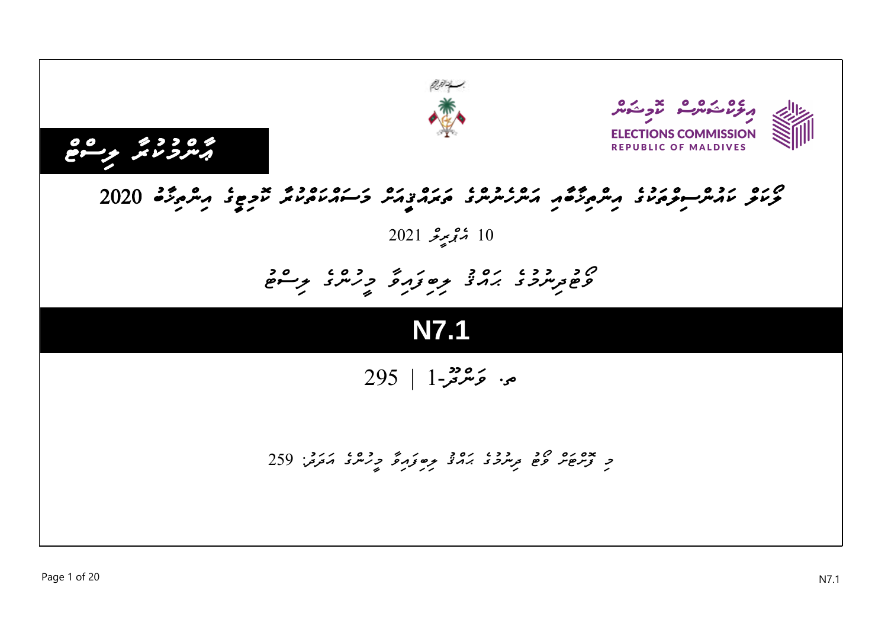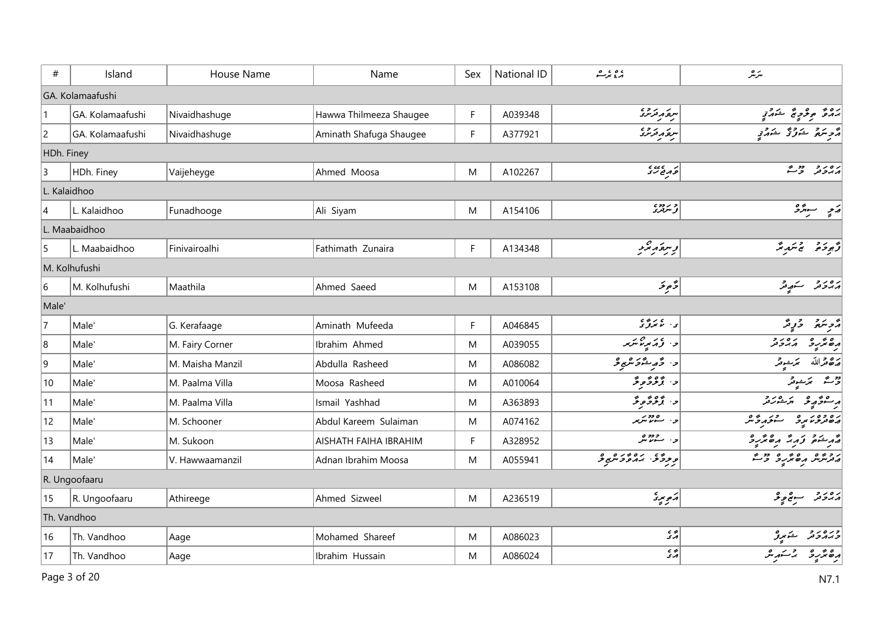| #              | Island           | House Name       | Name                    | Sex       | National ID | ، ه ، ره<br>پر ۽ برگ              | ىئرىتر                                                             |
|----------------|------------------|------------------|-------------------------|-----------|-------------|-----------------------------------|--------------------------------------------------------------------|
|                | GA. Kolamaafushi |                  |                         |           |             |                                   |                                                                    |
|                | GA. Kolamaafushi | Nivaidhashuge    | Hawwa Thilmeeza Shaugee | F         | A039348     | سرە مەترىرى<br>سىر                | برەۋ موقوپچ ھەقىي                                                  |
| $\overline{c}$ | GA. Kolamaafushi | Nivaidhashuge    | Aminath Shafuga Shaugee | F         | A377921     | سرە ئەر تەر يى                    | أأترضع الشورقي الشماتي                                             |
| HDh. Finey     |                  |                  |                         |           |             |                                   |                                                                    |
| 3              | HDh. Finey       | Vaijeheyge       | Ahmed Moosa             | ${\sf M}$ | A102267     | تر ميء ۽                          | ړه ده ده ش                                                         |
|                | L. Kalaidhoo     |                  |                         |           |             |                                   |                                                                    |
| $\overline{4}$ | L. Kalaidhoo     | Funadhooge       | Ali Siyam               | M         | A154106     | و بر دو ۽<br>تر سرپري             | أوسمح سورقر                                                        |
|                | L. Maabaidhoo    |                  |                         |           |             |                                   |                                                                    |
| 5              | L. Maabaidhoo    | Finivairoalhi    | Fathimath Zunaira       | F         | A134348     | وببرء وبرمه                       | توجوخوا المستمرين                                                  |
|                | M. Kolhufushi    |                  |                         |           |             |                                   |                                                                    |
| 6              | M. Kolhufushi    | Maathila         | Ahmed Saeed             | ${\sf M}$ | A153108     | قرموځه                            | ړه رول که تو                                                       |
| Male'          |                  |                  |                         |           |             |                                   |                                                                    |
| $\overline{7}$ | Male'            | G. Kerafaage     | Aminath Mufeeda         | F         | A046845     | ے رہے۔<br>یہ ماہمرتو <sub>ک</sub> | أأرمز المحتفظ والمحمد والمحتفر                                     |
| 8              | Male'            | M. Fairy Corner  | Ibrahim Ahmed           | ${\sf M}$ | A039055     | د · <i>ڈ</i> رمیرنامکر ر          | دە ئەرد دەرد                                                       |
| 9              | Male'            | M. Maisha Manzil | Abdulla Rasheed         | M         | A086082     | <mark>.</mark> ئۇرستۇر ئىرىم      | ره دالله مرشوتر<br>ده ترالله مرشوتر                                |
| 10             | Male'            | M. Paalma Villa  | Moosa Rasheed           | M         | A010064     | -- ئۇۋۇ <sub>م</sub> ۇ            | وو محمد المركب و محمد المركب المركب<br>التركب المحمد المحمد المركب |
| 11             | Male'            | M. Paalma Villa  | Ismail Yashhad          | M         | A363893     | و٠ يُرْوُدُّ وِ دُّ               | ەر ھەھمى ئەھمەتەر ئىشىر ئىر                                        |
| 12             | Male'            | M. Schooner      | Abdul Kareem Sulaiman   | M         | A074162     | وسنستوسر                          | رەدەر <sub>كې</sub> رو سۇرگەگ                                      |
| 13             | Male'            | M. Sukoon        | AISHATH FAIHA IBRAHIM   | F         | A328952     | و، سەر بىر                        | ممرشو زرئه مومر                                                    |
| 14             | Male'            | V. Hawwaamanzil  | Adnan Ibrahim Moosa     | M         | A055941     |                                   | .<br>ג'נגילי גם ג'וב ב                                             |
|                | R. Ungoofaaru    |                  |                         |           |             |                                   |                                                                    |
| 15             | R. Ungoofaaru    | Athireege        | Ahmed Sizweel           | ${\sf M}$ | A236519     | ړ<br>مريخه                        | أرور والمستعموه                                                    |
|                | Th. Vandhoo      |                  |                         |           |             |                                   |                                                                    |
| 16             | Th. Vandhoo      | Aage             | Mohamed Shareef         | ${\sf M}$ | A086023     | پر ج                              | ورەرە خىرۇ                                                         |
| 17             | Th. Vandhoo      | Aage             | Ibrahim Hussain         | M         | A086024     | پر ج<br>مرگ                       | مەھرىرى بەسكىدىكى                                                  |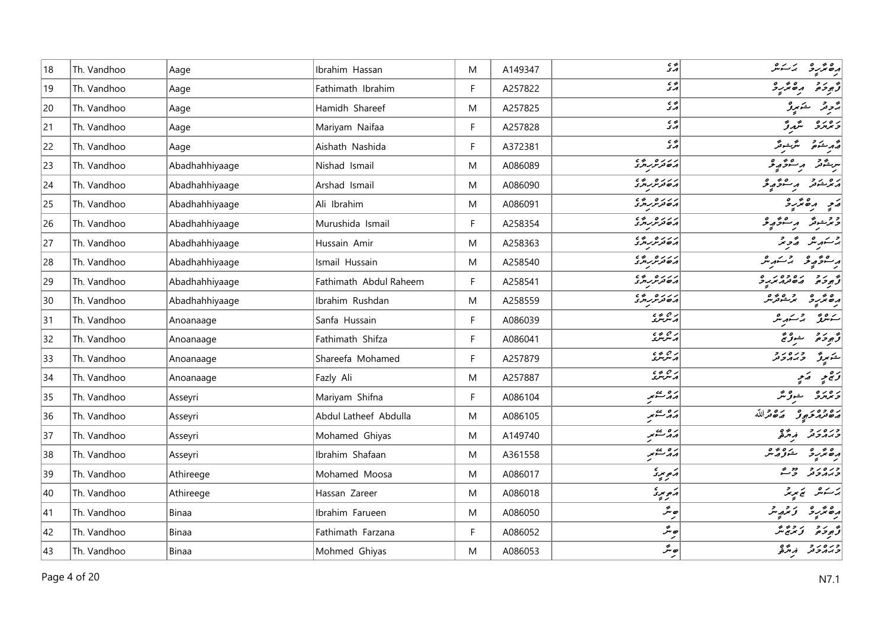| 18 | Th. Vandhoo | Aage           | Ibrahim Hassan         | M         | A149347 | پر مح<br>مرمی                      | د ۱۵ پر د<br>م<br>برسەيىتىر                      |
|----|-------------|----------------|------------------------|-----------|---------|------------------------------------|--------------------------------------------------|
| 19 | Th. Vandhoo | Aage           | Fathimath Ibrahim      | F         | A257822 | پو مي<br>مرمي                      | و مرد<br>ترجو حرم<br>ڔۿؠٞڔۯ                      |
| 20 | Th. Vandhoo | Aage           | Hamidh Shareef         | M         | A257825 | پو مي<br>مرمي                      | برّوبر<br>ىشەمرۇ<br>ئ                            |
| 21 | Th. Vandhoo | Aage           | Mariyam Naifaa         | F         | A257828 | پري                                | ر ه ر ه<br><del>و</del> بربرو<br>ىترە قر         |
| 22 | Th. Vandhoo | Aage           | Aishath Nashida        | F         | A372381 | پو مي<br>مرمي                      | سرٌمشوترٌ<br>په <sub>مر</sub> شوه<br>د کر        |
| 23 | Th. Vandhoo | Abadhahhiyaage | Nishad Ismail          | ${\sf M}$ | A086089 | ر ر ر ه په و .<br>د ځنگرمربرگر     | سريشمر وعثوره                                    |
| 24 | Th. Vandhoo | Abadhahhiyaage | Arshad Ismail          | M         | A086090 | <br>  پرځه تر تر برگري             | رەپرىشى بەر ئەر ئو                               |
| 25 | Th. Vandhoo | Abadhahhiyaage | Ali Ibrahim            | M         | A086091 | ر ر ر ه<br>پرې تر بر پر د          | $5 - 20$<br>$-20$                                |
| 26 | Th. Vandhoo | Abadhahhiyaage | Murushida Ismail       | F         | A258354 | ر ر ر ه<br>مەمرىرىدىگە             | ويرجعته ومعتويد                                  |
| 27 | Th. Vandhoo | Abadhahhiyaage | Hussain Amir           | ${\sf M}$ | A258363 | ر ر ر ه پر د<br>پره ترس پر د       | يز سكر مثر الأثر مركز من                         |
| 28 | Th. Vandhoo | Abadhahhiyaage | Ismail Hussain         | M         | A258540 | پر پر ده پر پر<br>  پر تصویر سر پر | وستخوخ برسور                                     |
| 29 | Th. Vandhoo | Abadhahhiyaage | Fathimath Abdul Raheem | F         | A258541 | ر ر ر ه<br>پرې تر بر پر د          | ره وه در ه<br>مصرم تربر و<br>ۇ بور بو            |
| 30 | Th. Vandhoo | Abadhahhiyaage | Ibrahim Rushdan        | M         | A258559 | ر ر ر ه<br>پرې تر بر پر د          | ەھ ئەرە بەر ئەھەر بىر<br>مەھ ئەر بىر ئىشوتكەنلەر |
| 31 | Th. Vandhoo | Anoanaage      | Sanfa Hussain          | F         | A086039 | ر ۾ ءِ ۽<br>مرس                    | سەھدى برسىمبرىش                                  |
| 32 | Th. Vandhoo | Anoanaage      | Fathimath Shifza       | F         | A086041 | ر ۾ ءِ ۽<br>مرس                    | وتمودة سووة                                      |
| 33 | Th. Vandhoo | Anoanaage      | Shareefa Mohamed       | F         | A257879 | ر ۾ ءِ ۽<br>مرس                    | و ره ر د<br>تر پر تر تر<br> شەمرىر               |
| 34 | Th. Vandhoo | Anoanaage      | Fazly Ali              | M         | A257887 | ىر 2 ھ ءِ<br>مەسرىبىرى             | وڭ ئەر                                           |
| 35 | Th. Vandhoo | Asseyri        | Mariyam Shifna         | F         | A086104 | بره يميمه                          | رەرە ھۇش                                         |
| 36 | Th. Vandhoo | Asseyri        | Abdul Latheef Abdulla  | M         | A086105 | لرويمبر                            | برە دە ئەھەر الله                                |
| 37 | Th. Vandhoo | Asseyri        | Mohamed Ghiyas         | M         | A149740 | ىرە يىمىر                          | ورەر د پرو                                       |
| 38 | Th. Vandhoo | Asseyri        | Ibrahim Shafaan        | M         | A361558 | برە يىمبر                          | ے وہ می <sub>ں</sub><br>ەر ھەترىر <i>2</i>       |
| 39 | Th. Vandhoo | Athireege      | Mohamed Moosa          | M         | A086017 | ړ<br>مرموسو                        | وره رو<br><i>د ب</i> رگرفر<br>ديو مشر            |
| 40 | Th. Vandhoo | Athireege      | Hassan Zareer          | ${\sf M}$ | A086018 | ړ<br>د حومونه                      | ئەسكەش ئۇمچىرىتى                                 |
| 41 | Th. Vandhoo | <b>Binaa</b>   | Ibrahim Farueen        | ${\sf M}$ | A086050 | لعوشر                              | مەھترىرى بىر ئىر                                 |
| 42 | Th. Vandhoo | Binaa          | Fathimath Farzana      | F         | A086052 | ەبىر                               | و ده زدوند                                       |
| 43 | Th. Vandhoo | Binaa          | Mohmed Ghiyas          | M         | A086053 | حویٹر                              | ورەر دېگە                                        |
|    |             |                |                        |           |         |                                    |                                                  |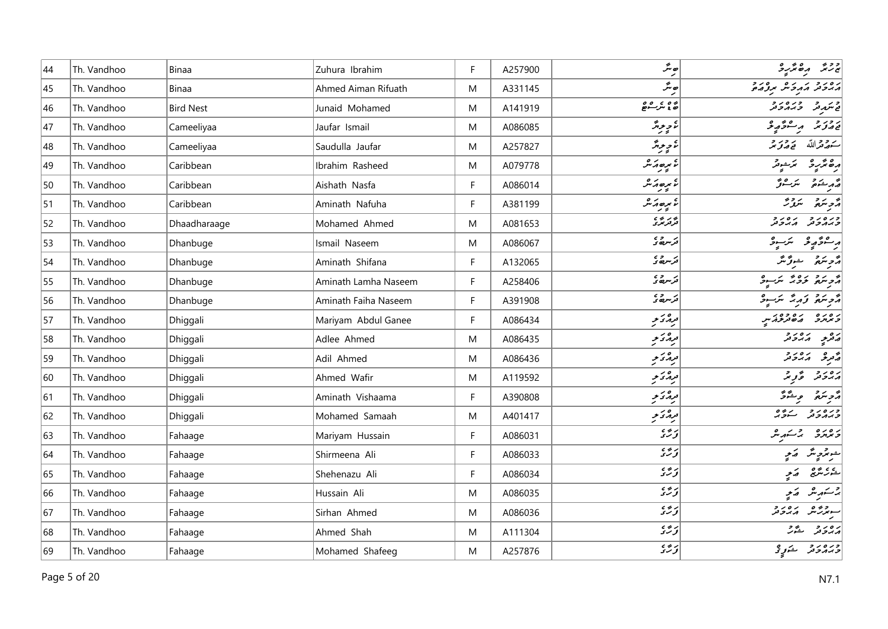| 44 | Th. Vandhoo | Binaa            | Zuhura Ibrahim       | F         | A257900 | حویٹر                         | $\begin{pmatrix} 2 & 2 & 2 & 2 \\ 2 & 2 & 2 & 2 \\ 3 & 2 & 2 & 2 \end{pmatrix}$                                                                                                                    |
|----|-------------|------------------|----------------------|-----------|---------|-------------------------------|----------------------------------------------------------------------------------------------------------------------------------------------------------------------------------------------------|
| 45 | Th. Vandhoo | Binaa            | Ahmed Aiman Rifuath  | ${\sf M}$ | A331145 | اھ پڙ                         | גפגב הקבית תנהם                                                                                                                                                                                    |
| 46 | Th. Vandhoo | <b>Bird Nest</b> | Junaid Mohamed       | M         | A141919 | پره پر مرم<br>  په پېښتون     | جسمری در در در                                                                                                                                                                                     |
| 47 | Th. Vandhoo | Cameeliyaa       | Jaufar Ismail        | M         | A086085 | ءکو پورتر                     | يرور وصوره                                                                                                                                                                                         |
| 48 | Th. Vandhoo | Cameeliyaa       | Saudulla Jaufar      | M         | A257827 | لأحرمرثر                      | حرورالله وكرور                                                                                                                                                                                     |
| 49 | Th. Vandhoo | Caribbean        | Ibrahim Rasheed      | M         | A079778 | نا<br>ماسم حديثر              | رە ئرىر ئىسىمى ئىشىمى                                                                                                                                                                              |
| 50 | Th. Vandhoo | Caribbean        | Aishath Nasfa        | F         | A086014 | ن <sub>ى</sub><br>ئىمرھ ئەنگر | ە ئەر ئىكە ئى ئىر ئىسىر                                                                                                                                                                            |
| 51 | Th. Vandhoo | Caribbean        | Aminath Nafuha       | F         | A381199 | ئىمرھەر<br>ئى                 | أأزجه تترجم                                                                                                                                                                                        |
| 52 | Th. Vandhoo | Dhaadharaage     | Mohamed Ahmed        | ${\sf M}$ | A081653 | ی ر د د<br>ترتربری            | כנסנכ נסנכ<br>כגמכנג הגבנג                                                                                                                                                                         |
| 53 | Th. Vandhoo | Dhanbuge         | Ismail Naseem        | M         | A086067 | ترسره ی                       | ر جۇرچە سىردە                                                                                                                                                                                      |
| 54 | Th. Vandhoo | Dhanbuge         | Aminath Shifana      | F.        | A132065 | ترسره ی                       | -<br>  اگرچر ملتور مشورٌ مگر                                                                                                                                                                       |
| 55 | Th. Vandhoo | Dhanbuge         | Aminath Lamha Naseem | F         | A258406 | ترسره ی                       | أأوسع ووقا الكراوة                                                                                                                                                                                 |
| 56 | Th. Vandhoo | Dhanbuge         | Aminath Faiha Naseem | F         | A391908 | ترسره ی                       | أوستم وربا الراجو                                                                                                                                                                                  |
| 57 | Th. Vandhoo | Dhiggali         | Mariyam Abdul Ganee  | F         | A086434 | مردح تو                       | رەرە رەدەرىر                                                                                                                                                                                       |
| 58 | Th. Vandhoo | Dhiggali         | Adlee Ahmed          | M         | A086435 | مرد نمو محر                   | ە ئۇم ئەرەر                                                                                                                                                                                        |
| 59 | Th. Vandhoo | Dhiggali         | Adil Ahmed           | ${\sf M}$ | A086436 | مردگر تو                      | ړ وه د پره د و                                                                                                                                                                                     |
| 60 | Th. Vandhoo | Dhiggali         | Ahmed Wafir          | ${\sf M}$ | A119592 | مردح تو                       | دەر د ئۇ ئە                                                                                                                                                                                        |
| 61 | Th. Vandhoo | Dhiggali         | Aminath Vishaama     | F         | A390808 | مردگر مو                      | أزويته ويثوثر                                                                                                                                                                                      |
| 62 | Th. Vandhoo | Dhiggali         | Mohamed Samaah       | M         | A401417 | مرد کا عر                     | ورەرو روە                                                                                                                                                                                          |
| 63 | Th. Vandhoo | Fahaage          | Mariyam Hussain      | F         | A086031 | تۇرى                          | ويوره ومنهر                                                                                                                                                                                        |
| 64 | Th. Vandhoo | Fahaage          | Shirmeena Ali        | F         | A086033 | ر و ،<br>قرگری                | جوند په کام                                                                                                                                                                                        |
| 65 | Th. Vandhoo | Fahaage          | Shehenazu Ali        | F         | A086034 | ر و ،<br>قرگری                | $\begin{array}{cc} \hline \begin{array}{cc} \mathcal{L} & \mathcal{L} & \mathcal{L} \\ \mathcal{L} & \mathcal{L} & \mathcal{L} \\ \mathcal{L} & \mathcal{L} & \mathcal{L} \end{array} \end{array}$ |
| 66 | Th. Vandhoo | Fahaage          | Hussain Ali          | ${\sf M}$ | A086035 | ر بر د<br>تر تر د             | بر مسكر مع الأمر                                                                                                                                                                                   |
| 67 | Th. Vandhoo | Fahaage          | Sirhan Ahmed         | M         | A086036 | ر و ،<br>قرگری                | سيعرشش برەرد                                                                                                                                                                                       |
| 68 | Th. Vandhoo | Fahaage          | Ahmed Shah           | M         | A111304 | ر و ،<br>قرگری                | برەر دەر                                                                                                                                                                                           |
| 69 | Th. Vandhoo | Fahaage          | Mohamed Shafeeg      | ${\sf M}$ | A257876 | ۇرگى                          | ورەر دېم ئىكتى ئى                                                                                                                                                                                  |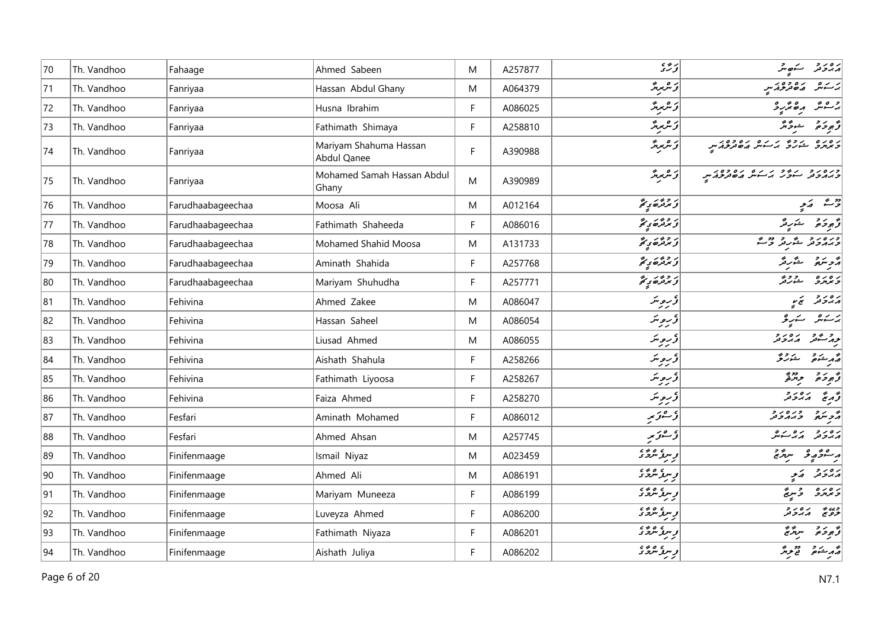| 70 | Th. Vandhoo | Fahaage           | Ahmed Sabeen                          | M           | A257877 | تر پر پ<br>  تر تر پر     | أرور ومستوسر                                                                                                         |
|----|-------------|-------------------|---------------------------------------|-------------|---------|---------------------------|----------------------------------------------------------------------------------------------------------------------|
| 71 | Th. Vandhoo | Fanriyaa          | Hassan Abdul Ghany                    | M           | A064379 | ۇ ئىرىدىگە                | يز کشش مەھ بود ئەير                                                                                                  |
| 72 | Th. Vandhoo | Fanriyaa          | Husna Ibrahim                         | F           | A086025 | ۇ ئىرىدۇ                  | جرحش مرەمجرىرى                                                                                                       |
| 73 | Th. Vandhoo | Fanriyaa          | Fathimath Shimaya                     | F           | A258810 | ر م <sub>عبر پ</sub> ر    | و و ده شود د                                                                                                         |
| 74 | Th. Vandhoo | Fanriyaa          | Mariyam Shahuma Hassan<br>Abdul Qanee | F           | A390988 | ئۇنىزىدىگە                | رەرە بەدە بەدە رەدەر.<br>دىمەرد خەرد بەسەر مەھەردە س                                                                 |
| 75 | Th. Vandhoo | Fanriyaa          | Mohamed Samah Hassan Abdul<br>Ghany   | ${\sf M}$   | A390989 | ۇ ئىرىدىگە                | وره رو د برو بر ره د ره دور بر                                                                                       |
| 76 | Th. Vandhoo | Farudhaabageechaa | Moosa Ali                             | ${\sf M}$   | A012164 | ۇ ئرىزە ئەنگى             | لترشش الأسمية                                                                                                        |
| 77 | Th. Vandhoo | Farudhaabageechaa | Fathimath Shaheeda                    | F           | A086016 | ز حر تركه و پخ            | ر<br>تو <i>پوځو</i> شکړېنگر                                                                                          |
| 78 | Th. Vandhoo | Farudhaabageechaa | Mohamed Shahid Moosa                  | M           | A131733 | ز جردگرهه په گا           |                                                                                                                      |
| 79 | Th. Vandhoo | Farudhaabageechaa | Aminath Shahida                       | F           | A257768 | ز جروزه به پخ             | ومحر المتعرفة                                                                                                        |
| 80 | Th. Vandhoo | Farudhaabageechaa | Mariyam Shuhudha                      | F.          | A257771 | ز ژو <i>ژه پ</i> خ        | رەرە شەدىر<br>دىمەدو شەرىر                                                                                           |
| 81 | Th. Vandhoo | Fehivina          | Ahmed Zakee                           | M           | A086047 | ا در مرید<br><u>سرم</u>   | أرور و سي                                                                                                            |
| 82 | Th. Vandhoo | Fehivina          | Hassan Saheel                         | M           | A086054 | اؤره مئر<br><u>ست</u>     | ىزىكە سەربى                                                                                                          |
| 83 | Th. Vandhoo | Fehivina          | Liusad Ahmed                          | M           | A086055 | ء<br>فرسر عبر             | ورقيقو بره دو                                                                                                        |
| 84 | Th. Vandhoo | Fehivina          | Aishath Shahula                       | F           | A258266 | ۇروپۇ                     | م ديده ديده.<br>مرسمه شرحو                                                                                           |
| 85 | Th. Vandhoo | Fehivina          | Fathimath Liyoosa                     | F.          | A258267 | ۇروپر<br><u>سىرى</u> ر    | $rac{1}{6}$<br>$rac{1}{6}$<br>$rac{1}{6}$<br>$rac{1}{6}$<br>$rac{1}{6}$<br>$rac{1}{6}$<br>$rac{1}{6}$<br>$rac{1}{6}$ |
| 86 | Th. Vandhoo | Fehivina          | Faiza Ahmed                           | F           | A258270 | ۇروپر                     |                                                                                                                      |
| 87 | Th. Vandhoo | Fesfari           | Aminath Mohamed                       | F           | A086012 | ۇر ھۆكىر                  | 2,013 212                                                                                                            |
| 88 | Th. Vandhoo | Fesfari           | Ahmed Ahsan                           | M           | A257745 | اؤت ورمبر                 | رەرو رەپ                                                                                                             |
| 89 | Th. Vandhoo | Finifenmaage      | Ismail Niyaz                          | M           | A023459 | اربىر ئەھمىي              | وسنوقي ومستوقح                                                                                                       |
| 90 | Th. Vandhoo | Finifenmaage      | Ahmed Ali                             | M           | A086191 | وسوعدة                    | رەرد كەي                                                                                                             |
| 91 | Th. Vandhoo | Finifenmaage      | Mariyam Muneeza                       | F           | A086199 | ر سرگە شر <sup>ى</sup> رى | أدمرو وسرمج                                                                                                          |
| 92 | Th. Vandhoo | Finifenmaage      | Luveyza Ahmed                         | $\mathsf F$ | A086200 | ر سرگە شر <sup>ى</sup> رى | بر ہ بر د<br>م <i>ر</i> بر <del>د</del> تر<br>و پر ء<br>موس                                                          |
| 93 | Th. Vandhoo | Finifenmaage      | Fathimath Niyaza                      | F           | A086201 | ر سرگە شر <sup>ى</sup> رى | سرپڙيج<br>وٌ جو چر ح                                                                                                 |
| 94 | Th. Vandhoo | Finifenmaage      | Aishath Juliya                        | F           | A086202 | اربېږ هغه                 | أقهر مشكرة فتتح والمحر                                                                                               |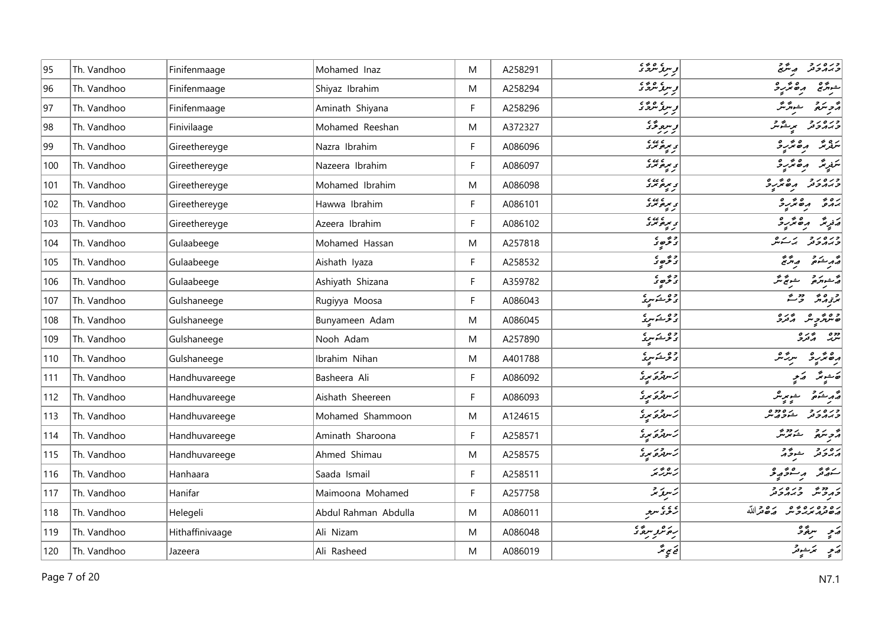| 95  | Th. Vandhoo | Finifenmaage    | Mohamed Inaz         | M  | A258291 | <i>و</i> سرۇ مەدىجە ئە              | ە بەشى<br>و رە ر د<br><i>د بە</i> پەر    |
|-----|-------------|-----------------|----------------------|----|---------|-------------------------------------|------------------------------------------|
| 96  | Th. Vandhoo | Finifenmaage    | Shiyaz Ibrahim       | M  | A258294 | اربرو فيوتج                         | برە ئۆرۈ<br>ے پر گرم<br>مر               |
| 97  | Th. Vandhoo | Finifenmaage    | Aminath Shiyana      | F. | A258296 | اوسۇمىزد                            | شەدگرىگر<br>ړ څر سرچ                     |
| 98  | Th. Vandhoo | Finivilaage     | Mohamed Reeshan      | M  | A372327 | ر سره د د ؟<br>ر بر بر              | و رە ر د<br><i>د بر</i> پر تر<br>ىرىشەشر |
| 99  | Th. Vandhoo | Gireethereyge   | Nazra Ibrahim        | F  | A086096 | ن در د د د<br>تر موجود د            | يتفريثه وكالحرير                         |
| 100 | Th. Vandhoo | Gireethereyge   | Nazeera Ibrahim      | F  | A086097 | ن در د د د<br>تر موجو بور           | ىئىرىتى مەھترىرى                         |
| 101 | Th. Vandhoo | Gireethereyge   | Mohamed Ibrahim      | M  | A086098 | ی در د<br>تر موجودی<br>تر بی        | כנהבת הפיציב                             |
| 102 | Th. Vandhoo | Gireethereyge   | Hawwa Ibrahim        | F  | A086101 | ی در د<br>تر موجودی<br>تر بی        | ەرھەترىر <sup>ى</sup><br>برە پە          |
| 103 | Th. Vandhoo | Gireethereyge   | Azeera Ibrahim       | F  | A086102 | ن در د<br>تر موجو مور<br>تر به      | ړنږ پر هڅر و                             |
| 104 | Th. Vandhoo | Gulaabeege      | Mohamed Hassan       | M  | A257818 | د و ه<br>د ژه د                     | ورەرو پرىكە                              |
| 105 | Th. Vandhoo | Gulaabeege      | Aishath Iyaza        | F  | A258532 | د څه په <sup>ې</sup>                | وكركو والمركم                            |
| 106 | Th. Vandhoo | Gulaabeege      | Ashiyath Shizana     | F  | A359782 | د څه د                              | ر<br>مگسمبرگرم شورخ مگر                  |
| 107 | Th. Vandhoo | Gulshaneege     | Rugiyya Moosa        | F  | A086043 | ر و شکور پار<br>د کر شکور پار       | و وه دوره.<br>مر <sub>قو</sub> م دور     |
| 108 | Th. Vandhoo | Gulshaneege     | Bunyameen Adam       | M  | A086045 | د ژخه سرِ دَ                        | و و پر په دره<br><i>ه سرگرچ</i> شر       |
| 109 | Th. Vandhoo | Gulshaneege     | Nooh Adam            | M  | A257890 | ر و عن سر <sup>ج</sup>              | دده په ده<br>سربر مرکز                   |
| 110 | Th. Vandhoo | Gulshaneege     | Ibrahim Nihan        | M  | A401788 | تروىحىسرى                           | ەھ ئ <sup>ۆ</sup> ر ۋ<br>سرچينې<br>په    |
| 111 | Th. Vandhoo | Handhuvareege   | Basheera Ali         | F. | A086092 | ر سروگر <sub>مو</sub> ر             | ە ئىبە ئە                                |
| 112 | Th. Vandhoo | Handhuvareege   | Aishath Sheereen     | F. | A086093 | ئەس <i>ەقرىر س</i> ېرى              | و<br>وگرځو خونړنگر                       |
| 113 | Th. Vandhoo | Handhuvareege   | Mohamed Shammoon     | M  | A124615 | ر سرچر <sub>سر</sub> ي              | شە ە دو ھ<br>و ر ه ر و<br>د بر پر تر     |
| 114 | Th. Vandhoo | Handhuvareege   | Aminath Sharoona     | F  | A258571 | ئەسە <i>تى ئە</i> رى                | شەنبۇرىتىر<br>أرمر وسنرو                 |
| 115 | Th. Vandhoo | Handhuvareege   | Ahmed Shimau         | M  | A258575 | ر سرچر <i>ي پ</i> ري                | رەر ئەر<br>مەرىر ئىوگە                   |
| 116 | Th. Vandhoo | Hanhaara        | Saada Ismail         | F  | A258511 | ر ەپرىر<br><i>ر</i> ىتر <i>ى</i> تر | سەئەتر مەسىرىمەتر                        |
| 117 | Th. Vandhoo | Hanifar         | Maimoona Mohamed     | F. | A257758 | ئەس <i>بە</i> تە                    | נגמי כנסנב<br>בגבית בגבשה                |
| 118 | Th. Vandhoo | Helegeli        | Abdul Rahman Abdulla | M  | A086011 | ژی پی سرچ                           | ره ده ره ده دره دالله                    |
| 119 | Th. Vandhoo | Hithaffinivaage | Ali Nizam            | M  | A086048 | ىرە تروپىرە ئ <sup>ە</sup>          | ړې سروگر                                 |
| 120 | Th. Vandhoo | Jazeera         | Ali Rasheed          | M  | A086019 | ر<br>يح مي مگر                      | كالمح المخرجون                           |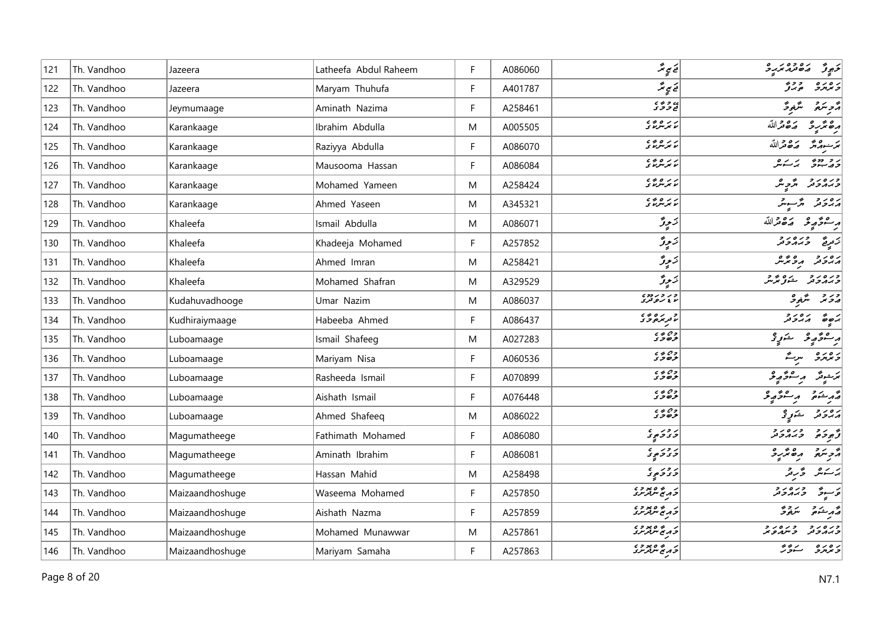| 121 | Th. Vandhoo | Jazeera         | Latheefa Abdul Raheem | F.          | A086060 | ئے بچ پُر                                       | دَوِرٌ   دەدە دېر د                                                                                                                                      |
|-----|-------------|-----------------|-----------------------|-------------|---------|-------------------------------------------------|----------------------------------------------------------------------------------------------------------------------------------------------------------|
| 122 | Th. Vandhoo | Jazeera         | Maryam Thuhufa        | F           | A401787 | ئے سچ مگر                                       | ئە ئەرە<br>و و د<br>می بر تو                                                                                                                             |
| 123 | Th. Vandhoo | Jeymumaage      | Aminath Nazima        | F           | A258461 | پر و دی پر<br>  فع فرمز می                      | أرمز يتمده<br>سَّرْهُ رَ                                                                                                                                 |
| 124 | Th. Vandhoo | Karankaage      | Ibrahim Abdulla       | M           | A005505 | ر ره ۶۵<br>ما بر مرما د                         | ەھىراللە<br>ە ھەترىر <sup>ە</sup>                                                                                                                        |
| 125 | Th. Vandhoo | Karankaage      | Raziyya Abdulla       | $\mathsf F$ | A086070 | ر ر ه و د ،<br>ما <del>ب</del> رمبر <i>دا</i> د | برسورتر مكافرالله                                                                                                                                        |
| 126 | Th. Vandhoo | Karankaage      | Mausooma Hassan       | F           | A086084 | ر ره ۶۵<br>ما بر مرما د                         | رو دوم پر کاش                                                                                                                                            |
| 127 | Th. Vandhoo | Karankaage      | Mohamed Yameen        | M           | A258424 | ر ر ه و ،<br>ما <del>ب</del> رمبر <i>دا</i> د   | כנסגר תכת                                                                                                                                                |
| 128 | Th. Vandhoo | Karankaage      | Ahmed Yaseen          | M           | A345321 | ر ر ه و ،<br>ما بر مرد د                        | أرەرو ئۇسومىر                                                                                                                                            |
| 129 | Th. Vandhoo | Khaleefa        | Ismail Abdulla        | M           | A086071 | زَرٍوٌ                                          | أمر عوصر ومحصرالله                                                                                                                                       |
| 130 | Th. Vandhoo | Khaleefa        | Khadeeja Mohamed      | F           | A257852 | زَرٍوٌ                                          | زَمِرِيَّ دَبَہ دَمَّر                                                                                                                                   |
| 131 | Th. Vandhoo | Khaleefa        | Ahmed Imran           | M           | A258421 | زَرٍوٌ                                          | رەرو رومۇر                                                                                                                                               |
| 132 | Th. Vandhoo | Khaleefa        | Mohamed Shafran       | M           | A329529 | زَرٍوٌ                                          | وره رو دره بود<br><i>و پرو</i> ور شوگر ش                                                                                                                 |
| 133 | Th. Vandhoo | Kudahuvadhooge  | Umar Nazim            | M           | A086037 | و ر و ر دو ،<br>ما ٤ مر و توى                   | ور و شهره                                                                                                                                                |
| 134 | Th. Vandhoo | Kudhiraiymaage  | Habeeba Ahmed         | F           | A086437 | ژمر پره وي<br>  نامر پره وي                     | برَحِرَّةٌ مَدَرَّتْر                                                                                                                                    |
| 135 | Th. Vandhoo | Luboamaage      | Ismail Shafeeg        | M           | A027283 | و <i>0 ه</i> ي<br>مون د ک                       | ر مەركىمى ئىستىر قىلىنىش ئىلەن ئىستان.<br>مەسىبەت ئىستان ئىستان ئىستان ئىستان ئىستان ئىستان ئىستان ئىستان ئىستان ئىستان ئىستان ئىستان ئىستان ئىستان ئىست |
| 136 | Th. Vandhoo | Luboamaage      | Mariyam Nisa          | F           | A060536 | و <i>0 ه</i> ی<br>مو <b>ره</b> و ی              | ويوره سرت                                                                                                                                                |
| 137 | Th. Vandhoo | Luboamaage      | Rasheeda Ismail       | F           | A070899 | و <i>0 ه</i> ء<br>موھ <del>و</del> ي            | ىرىسىقە بەستۇپ ئو                                                                                                                                        |
| 138 | Th. Vandhoo | Luboamaage      | Aishath Ismail        | F           | A076448 | و <i>0 ه</i> ء<br>موھ <del>و</del> ي            | ۇرىشقى برىشۇرچ                                                                                                                                           |
| 139 | Th. Vandhoo | Luboamaage      | Ahmed Shafeeq         | M           | A086022 | و <i>0 ه</i> ي<br>مون نو ي                      | رەر دىر<br>مەدىر ش <i>ۆ</i> رى                                                                                                                           |
| 140 | Th. Vandhoo | Magumatheege    | Fathimath Mohamed     | F           | A086080 | تر تر حر تر                                     | و رە ر د<br><i>د ب</i> رگەنز<br>و څو څه د                                                                                                                |
| 141 | Th. Vandhoo | Magumatheege    | Aminath Ibrahim       | $\mathsf F$ | A086081 | 5 5 5 م 5                                       | أروبتهم<br>برە ئۆرۈ                                                                                                                                      |
| 142 | Th. Vandhoo | Magumatheege    | Hassan Mahid          | M           | A258498 | ر و ر<br>5 د 5 د <sub>ې</sub> د                 | يەسەھە ئەرقە                                                                                                                                             |
| 143 | Th. Vandhoo | Maizaandhoshuge | Waseema Mohamed       | F           | A257850 | نز مرتج مرتبر د ،<br>د مرتبع مرتبر مرتبه        | وَسِيوَ ويه ورو                                                                                                                                          |
| 144 | Th. Vandhoo | Maizaandhoshuge | Aishath Nazma         | F           | A257859 | نز مرتدبر در در با<br>در مرتدبر در              | وكرو مردو                                                                                                                                                |
| 145 | Th. Vandhoo | Maizaandhoshuge | Mohamed Munawwar      | M           | A257861 | ر په ۱۶۵۵ و و<br>د کمري سرفرسرۍ                 | و ر ه ر د<br><i>و پر</i> پر تر<br>و ره ر د<br><b>ر</b> سمه و بر                                                                                          |
| 146 | Th. Vandhoo | Maizaandhoshuge | Mariyam Samaha        | F           | A257863 | نز مرتج مرتبر د ،<br>د مرتبع مرتبر مرتبه        | سترقر<br>ر ه ر ه<br><del>د</del> بربرگ                                                                                                                   |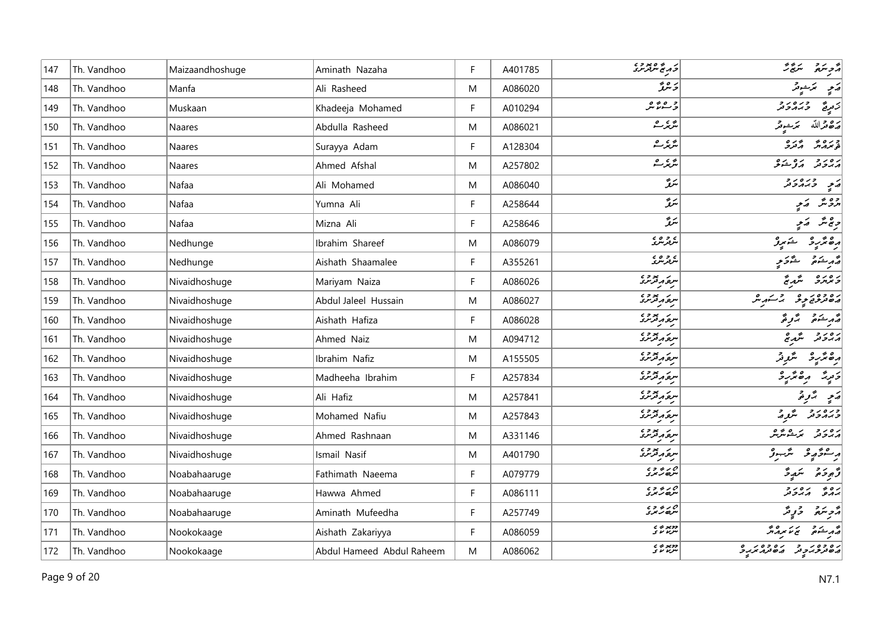| 147 | Th. Vandhoo | Maizaandhoshuge | Aminath Nazaha            | F         | A401785 | ر په ۱۶ ورو د<br>د کېږي سرفرس                      | سرنج تر<br>ۇ جە ئىبر<br>مەس                  |
|-----|-------------|-----------------|---------------------------|-----------|---------|----------------------------------------------------|----------------------------------------------|
| 148 | Th. Vandhoo | Manfa           | Ali Rasheed               | M         | A086020 | ىر ھۇ                                              | أركمني أترك والمراجي                         |
| 149 | Th. Vandhoo | Muskaan         | Khadeeja Mohamed          | F.        | A010294 | د مەر مەر                                          | تزمرچَّ<br>ورەرد                             |
| 150 | Th. Vandhoo | <b>Naares</b>   | Abdulla Rasheed           | M         | A086021 | پږي ه                                              | ەھىراللە<br>ىمەشەقر                          |
| 151 | Th. Vandhoo | Naares          | Surayya Adam              | F         | A128304 | ىئرىزىشە                                           | و ره ده په ده<br>څخه مرکز                    |
| 152 | Th. Vandhoo | <b>Naares</b>   | Ahmed Afshal              | M         | A257802 | متزبر م                                            | رەرد رەئبۇ                                   |
| 153 | Th. Vandhoo | Nafaa           | Ali Mohamed               | M         | A086040 | سروٌ                                               |                                              |
| 154 | Th. Vandhoo | Nafaa           | Yumna Ali                 | F         | A258644 | سَرَوٌ                                             | وه شر<br>مرح سر<br>ەنىر                      |
| 155 | Th. Vandhoo | Nafaa           | Mizna Ali                 | F         | A258646 | سرتر                                               | دېم په                                       |
| 156 | Th. Vandhoo | Nedhunge        | Ibrahim Shareef           | M         | A086079 | ء و ه ۽<br>سرپرسر <sub>ک</sub>                     | $rac{2}{3}$<br>ىشكىرۇ                        |
| 157 | Th. Vandhoo | Nedhunge        | Aishath Shaamalee         | F.        | A355261 | ے و ه ۽<br>سرپرسر <sub>ک</sub>                     | وأمرينتمو<br>ستذرَّمَر                       |
| 158 | Th. Vandhoo | Nivaidhoshuge   | Mariyam Naiza             | F         | A086026 | سرچە جە د ي<br>سرچە پەنگەنزى                       | ر ه ر ه<br><del>و</del> بوبرو<br>سَّرىمَّ    |
| 159 | Th. Vandhoo | Nivaidhoshuge   | Abdul Jaleel Hussain      | M         | A086027 | سرکھ وقریری<br>سرکھ وقریری                         | גە دەرىج بولى بالىكتىرلىش                    |
| 160 | Th. Vandhoo | Nivaidhoshuge   | Aishath Hafiza            | F         | A086028 | سرچە جە جە<br>سرچە سرچىرى                          | وأرجنتمو الأولج                              |
| 161 | Th. Vandhoo | Nivaidhoshuge   | Ahmed Naiz                | M         | A094712 | سر تکریم د د پر<br>سرچ مرفتر ترک                   | رەرو شەھ                                     |
| 162 | Th. Vandhoo | Nivaidhoshuge   | Ibrahim Nafiz             | M         | A155505 | سرچر پو و ۽<br>سرچ <sub>مر</sub> فرسر <sub>ي</sub> | سگرونر<br>ەرھەترىر <sup>ى</sup>              |
| 163 | Th. Vandhoo | Nivaidhoshuge   | Madheeha Ibrahim          | F.        | A257834 | سر تد در بر د بر<br>مرغ مرکز مرکز                  | ىزىدىگە<br>خەمەرىگە<br>ېر ھ <i>ي</i> تر پر د |
| 164 | Th. Vandhoo | Nivaidhoshuge   | Ali Hafiz                 | M         | A257841 | سرکھ وقریری<br>سرکھ وقریری                         | أرشح التجمع ولحجر                            |
| 165 | Th. Vandhoo | Nivaidhoshuge   | Mohamed Nafiu             | M         | A257843 | سرچە جە ج<br>سرچە سرچىرى                           | ورەر د<br><i>دېگ</i> رگر                     |
| 166 | Th. Vandhoo | Nivaidhoshuge   | Ahmed Rashnaan            | M         | A331146 | سرچە جە د ي<br>سرچە پەنگەنزى                       | رەرە بەھەتەر<br>مەرىر بۇشەش                  |
| 167 | Th. Vandhoo | Nivaidhoshuge   | Ismail Nasif              | M         | A401790 | سرچە <i>چە ج</i>                                   | ر قۇيۇ شىرۇ                                  |
| 168 | Th. Vandhoo | Noabahaaruge    | Fathimath Naeema          | F         | A079779 | ەر بەر دې<br>سرھار بىرى                            | أوجوحه سمدة                                  |
| 169 | Th. Vandhoo | Noabahaaruge    | Hawwa Ahmed               | F.        | A086111 | ہ ر پر و ،<br>سر <i>ھ ر</i> بری                    | برەپچ<br>پرور و                              |
| 170 | Th. Vandhoo | Noabahaaruge    | Aminath Mufeedha          | F         | A257749 | ہ ر بر و ،<br>سر <i>ھ ر</i> بری                    | ړٌ پر سَرَ ۽ وَ پِر گُر                      |
| 171 | Th. Vandhoo | Nookokaage      | Aishath Zakariyya         | F         | A086059 | وویو پر پر<br>سربر رکھ ت                           | הוק בי הודי היה                              |
| 172 | Th. Vandhoo | Nookokaage      | Abdul Hameed Abdul Raheem | ${\sf M}$ | A086062 | وویو پر د<br>سویں مذبی                             | נסכם נכנים מסכם מס<br>מסתיכת מסת מאת         |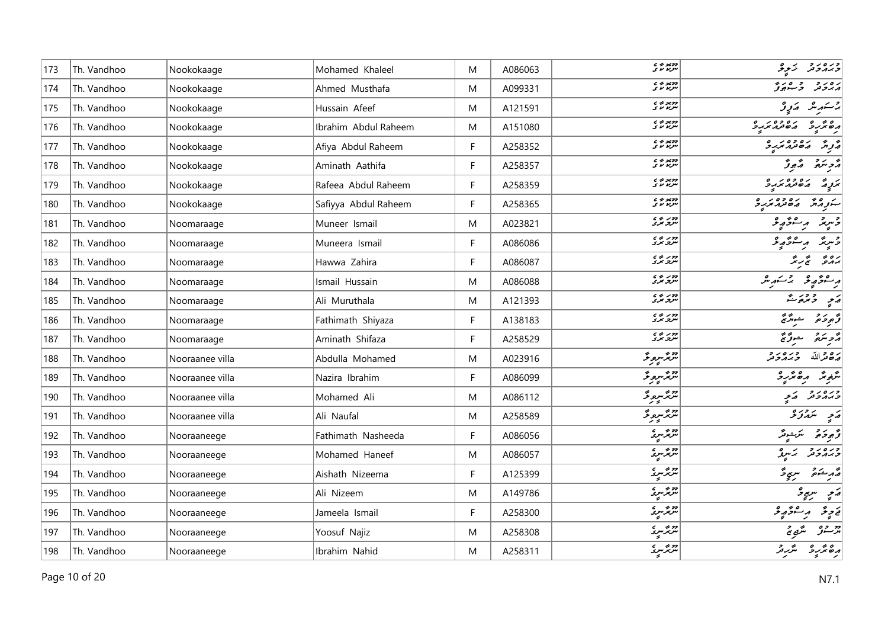| 173 | Th. Vandhoo | Nookokaage      | Mohamed Khaleel      | M           | A086063 | دد پر دی<br>سربر بر ی               | دبرەرد تەرد                                           |
|-----|-------------|-----------------|----------------------|-------------|---------|-------------------------------------|-------------------------------------------------------|
| 174 | Th. Vandhoo | Nookokaage      | Ahmed Musthafa       | M           | A099331 | وویو پر پر<br>سربر بر <sub>ک</sub>  | ده د د ه د و.<br>مدوند و سبوتو                        |
| 175 | Th. Vandhoo | Nookokaage      | Hussain Afeef        | M           | A121591 | وویر پر ہ<br>سربر بر <sub>ک</sub>   | يزخير شي الأرياني                                     |
| 176 | Th. Vandhoo | Nookokaage      | Ibrahim Abdul Raheem | M           | A151080 | وویو پر ہ<br>سربر رکا ی             | ر ه و ه ر<br>پره تربر تربر و<br>ە ھەترىر <sup>ى</sup> |
| 177 | Th. Vandhoo | Nookokaage      | Afiya Abdul Raheem   | $\mathsf F$ | A258352 | وویر پر ہ<br>سربر بر <sub>ک</sub>   | و په پېښتو<br>مرکز د<br>ر ه د ه ر<br>پره تر پر تر     |
| 178 | Th. Vandhoo | Nookokaage      | Aminath Aathifa      | F           | A258357 | دد پر دی<br>سورا ما می              | أزويني أأوقر                                          |
| 179 | Th. Vandhoo | Nookokaage      | Rafeea Abdul Raheem  | F           | A258359 | دوپر در د<br>سوپا ما ی              |                                                       |
| 180 | Th. Vandhoo | Nookokaage      | Safiyya Abdul Raheem | $\mathsf F$ | A258365 | دد پر در در<br>سربر بر د            | C 10201 2011                                          |
| 181 | Th. Vandhoo | Noomaraage      | Muneer Ismail        | M           | A023821 | وور پر پر<br>سرچ مر <sub>ک</sub>    | دسرير برائد ويو                                       |
| 182 | Th. Vandhoo | Noomaraage      | Muneera Ismail       | F           | A086086 | وور پر پر<br>سرچ موی                | خېږېد<br>بره په پېړۍ                                  |
| 183 | Th. Vandhoo | Noomaraage      | Hawwa Zahira         | F           | A086087 | وور پر پر<br>سرچ مر <sub>ک</sub>    | برەپچ<br>پھ ريگر<br>س                                 |
| 184 | Th. Vandhoo | Noomaraage      | Ismail Hussain       | M           | A086088 | وور پر پر<br>سرچ موی                | برحۇم ئى ئىكرىش                                       |
| 185 | Th. Vandhoo | Noomaraage      | Ali Muruthala        | M           | A121393 | وور پر پر<br>سرچ موی                |                                                       |
| 186 | Th. Vandhoo | Noomaraage      | Fathimath Shiyaza    | $\mathsf F$ | A138183 | وور پر پر<br>سرچ بنری               | وٌ و د مشر شور په ش                                   |
| 187 | Th. Vandhoo | Noomaraage      | Aminath Shifaza      | F           | A258529 | وور پر پر<br>سرچ مر <sub>ک</sub>    | سنبوتونج<br>ړځ سرچ                                    |
| 188 | Th. Vandhoo | Nooraanee villa | Abdulla Mohamed      | M           | A023916 | يزىر<br>سرىر سرە ئى                 | برە ترالله<br>و رە ر د<br><i>د ب</i> رگرىز            |
| 189 | Th. Vandhoo | Nooraanee villa | Nazira Ibrahim       | F           | A086099 | يزېژ <sub>مبرو</sub> ئ <sup>ې</sup> | شموشر مرەشرىر                                         |
| 190 | Th. Vandhoo | Nooraanee villa | Mohamed Ali          | M           | A086112 | يژبر سره د گر                       | ورەرد كې                                              |
| 191 | Th. Vandhoo | Nooraanee villa | Ali Naufal           | M           | A258589 | يزېژ <sub>مبرو</sub> ئ <sup>ې</sup> | أەي ئىمەترى                                           |
| 192 | Th. Vandhoo | Nooraaneege     | Fathimath Nasheeda   | F           | A086056 | دو پر<br>سربر سرپر                  | ۇي <sub>ۇ</sub> رۇ ئىنېۋ                              |
| 193 | Th. Vandhoo | Nooraaneege     | Mohamed Haneef       | M           | A086057 | دو پر<br>سربر سرپر                  | ورەرو ئەرو                                            |
| 194 | Th. Vandhoo | Nooraaneege     | Aishath Nizeema      | F           | A125399 | چېر شورځ<br>سرچر سوچ                |                                                       |
| 195 | Th. Vandhoo | Nooraaneege     | Ali Nizeem           | M           | A149786 | دو په په<br>مربر پېړۍ               | ړې سرې د                                              |
| 196 | Th. Vandhoo | Nooraaneege     | Jameela Ismail       | F           | A258300 | دو پر<br>مربر س <sub>و</sub> ر      | ى بەرگە<br>مەسىر<br>وسترة ويحر                        |
| 197 | Th. Vandhoo | Nooraaneege     | Yoosuf Najiz         | M           | A258308 | دو پر<br>سربر سرپر                  | ورية<br>سگھ ج                                         |
| 198 | Th. Vandhoo | Nooraaneege     | Ibrahim Nahid        | M           | A258311 | چرمچر سرچ<br>سرچر سرچ               | رە ئۈر ئىرىز                                          |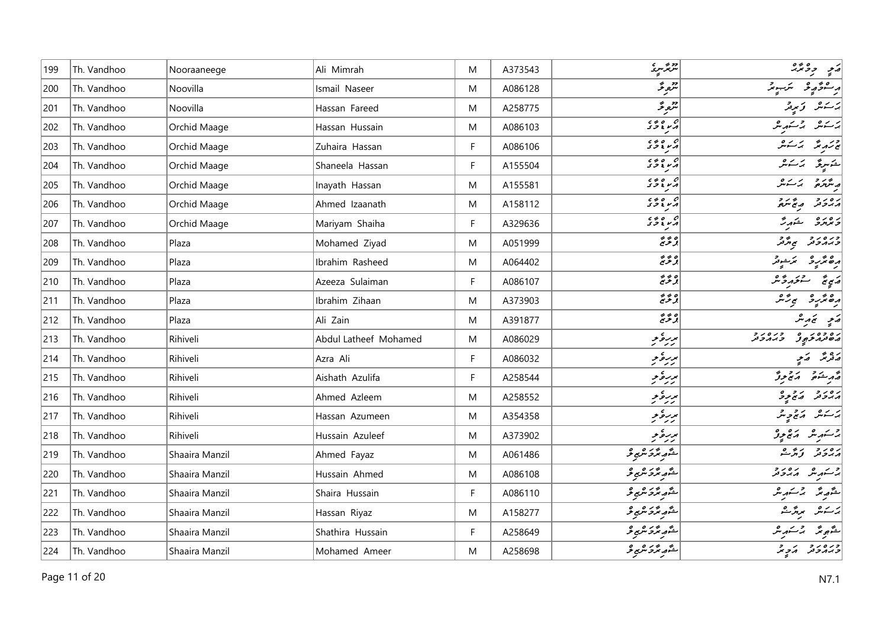| 199 | Th. Vandhoo | Nooraaneege    | Ali Mimrah            | M         | A373543 | دو پر<br>سربر سرپر                      | أربح وونرر                                                           |
|-----|-------------|----------------|-----------------------|-----------|---------|-----------------------------------------|----------------------------------------------------------------------|
| 200 | Th. Vandhoo | Noovilla       | Ismail Naseer         | M         | A086128 | يتره پڅه                                | رەشۇر ئەرگىيەتى<br>ئەسكىل كەيدۇ                                      |
| 201 | Th. Vandhoo | Noovilla       | Hassan Fareed         | M         | A258775 | تترهر محر                               |                                                                      |
| 202 | Th. Vandhoo | Orchid Maage   | Hassan Hussain        | M         | A086103 | لمروء                                   | برسم برستهر                                                          |
| 203 | Th. Vandhoo | Orchid Maage   | Zuhaira Hassan        | F         | A086106 |                                         |                                                                      |
| 204 | Th. Vandhoo | Orchid Maage   | Shaneela Hassan       | F         | A155504 |                                         | ڪيريو پرڪير                                                          |
| 205 | Th. Vandhoo | Orchid Maage   | Inayath Hassan        | M         | A155581 | ه وه وه<br>مربو د د                     | مەسىرە كەسكىر                                                        |
| 206 | Th. Vandhoo | Orchid Maage   | Ahmed Izaanath        | ${\sf M}$ | A158112 |                                         | أرور ويختبره                                                         |
| 207 | Th. Vandhoo | Orchid Maage   | Mariyam Shaiha        | F         | A329636 |                                         | و مردو شهرته                                                         |
| 208 | Th. Vandhoo | Plaza          | Mohamed Ziyad         | M         | A051999 | إدثرتج                                  | כנסנב הייברי<br>כגובבי הייברי                                        |
| 209 | Th. Vandhoo | Plaza          | Ibrahim Rasheed       | M         | A064402 | وثرة                                    | رە ئرىر ئىسىمىتى<br>رە ئىرى                                          |
| 210 | Th. Vandhoo | Plaza          | Azeeza Sulaiman       | F         | A086107 | وثرة                                    | شۇمە <i>ۋ</i> ىر<br>ر<br>دېږي                                        |
| 211 | Th. Vandhoo | Plaza          | Ibrahim Zihaan        | M         | A373903 | پوځي                                    |                                                                      |
| 212 | Th. Vandhoo | Plaza          | Ali Zain              | ${\sf M}$ | A391877 | ژ ڈ بچ                                  | وَمِعِ مَجمدِ مِسْر                                                  |
| 213 | Th. Vandhoo | Rihiveli       | Abdul Latheef Mohamed | ${\sf M}$ | A086029 | ىرر ئە<br>ئرىر قىر                      | ן פיפיקי פי<br>גם נקח ב <sub>וזו</sub> ב<br>و پر ۵ ر و<br>تر پر ژوئر |
| 214 | Th. Vandhoo | Rihiveli       | Azra Ali              | F         | A086032 | ىرر <sub>ئ</sub> ىجى<br>مەركى           | ە ئەرشە بەر                                                          |
| 215 | Th. Vandhoo | Rihiveli       | Aishath Azulifa       | F         | A258544 | بررءً و                                 | ومرشنو المتمرز                                                       |
| 216 | Th. Vandhoo | Rihiveli       | Ahmed Azleem          | M         | A258552 | بررء و<br>مرگو                          |                                                                      |
| 217 | Th. Vandhoo | Rihiveli       | Hassan Azumeen        | M         | A354358 | ىررى<br>ئرىر ئىر                        | ىرىكىش مەيچ چىتى                                                     |
| 218 | Th. Vandhoo | Rihiveli       | Hussain Azuleef       | M         | A373902 | ىررى بو<br>ئرىر ئىر                     | ير سەر شەھ بۇ ئە                                                     |
| 219 | Th. Vandhoo | Shaaira Manzil | Ahmed Fayaz           | M         | A061486 | ىش <sub>ە</sub> پرۇشى ۋ                 | رەرد رېره                                                            |
| 220 | Th. Vandhoo | Shaaira Manzil | Hussain Ahmed         | M         | A086108 | ىش <sub>ە</sub> پرىز ش <sub>ىرى</sub> ر | ج سکر سر مرکز در د                                                   |
| 221 | Th. Vandhoo | Shaaira Manzil | Shaira Hussain        | F         | A086110 | ىش <sub>ە</sub> پرىز ش <sub>ىر</sub> و  | شورېز برخورش                                                         |
| 222 | Th. Vandhoo | Shaaira Manzil | Hassan Riyaz          | M         | A158277 | ىش <sub>ە</sub> پرىز ش <sub>ىن</sub> و  | ر<br>ریکس برگر                                                       |
| 223 | Th. Vandhoo | Shaaira Manzil | Shathira Hussain      | F         | A258649 | ىش <sub>ە</sub> پرۇش <sub>ى</sub> ر     | شقوتم بمسكوشر                                                        |
| 224 | Th. Vandhoo | Shaaira Manzil | Mohamed Ameer         | ${\sf M}$ | A258698 | ىش <sub>ە</sub> ر ئەر ئىرىمى ئى         | כנים ניביל                                                           |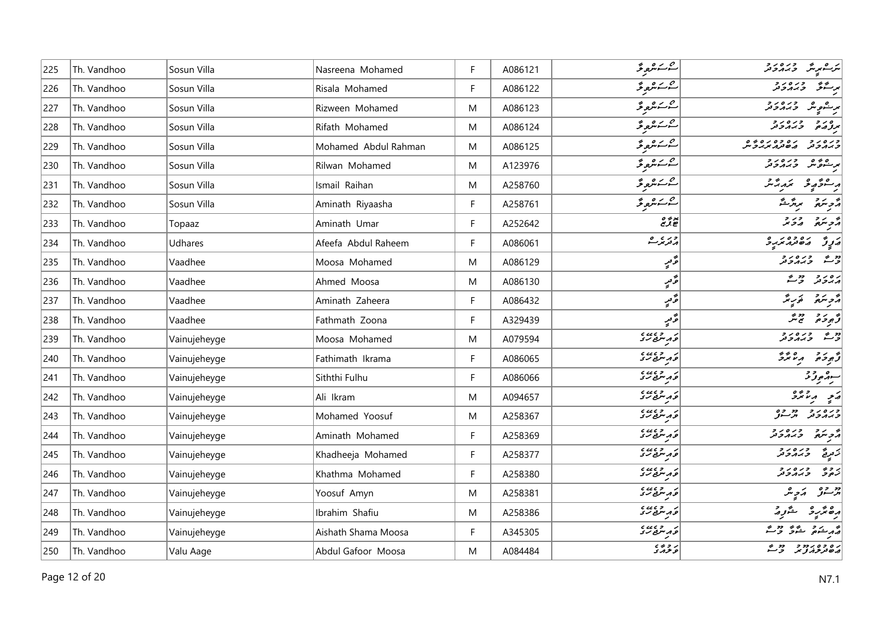| 225 | Th. Vandhoo | Sosun Villa  | Nasreena Mohamed     | F  | A086121 | حويك عراج ومحر                   | ىكرىشمېرىكى ئەركەن ئ                                 |
|-----|-------------|--------------|----------------------|----|---------|----------------------------------|------------------------------------------------------|
| 226 | Th. Vandhoo | Sosun Villa  | Risala Mohamed       | F  | A086122 | <u>شر ئەشرو ئۇ</u>               | برىدى<br>و ر ه ر و<br>تر پر ژ تر                     |
| 227 | Th. Vandhoo | Sosun Villa  | Rizween Mohamed      | M  | A086123 | استمستقرقر                       | برشوهر ورور <del>د</del>                             |
| 228 | Th. Vandhoo | Sosun Villa  | Rifath Mohamed       | M  | A086124 | <u>ح ئەنگەرى ئى</u>              | 2,0,0 0,00<br>x3,000 0,000                           |
| 229 | Th. Vandhoo | Sosun Villa  | Mohamed Abdul Rahman | M  | A086125 | می <sub>س</sub> تر مقروری        | وره رو ده وه ره وه<br><i>و ب</i> رم و تر مصر مرکز مر |
| 230 | Th. Vandhoo | Sosun Villa  | Rilwan Mohamed       | M  | A123976 | 2 سەمبىرى <i>م</i> ۇ             | ەر مەر دىرەرد<br>برىشوش <i>دىد</i> ەرىر              |
| 231 | Th. Vandhoo | Sosun Villa  | Ismail Raihan        | M  | A258760 | مەسەبى <i>رى ۋ</i>               | وسقوم مورثي                                          |
| 232 | Th. Vandhoo | Sosun Villa  | Aminath Riyaasha     | F  | A258761 | <u>ح سەمىرى ئە</u>               |                                                      |
| 233 | Th. Vandhoo | Topaaz       | Aminath Umar         | F  | A252642 | پر ده<br>ج گري                   | أثرحر مغرو<br>و د بر<br>در ک                         |
| 234 | Th. Vandhoo | Udhares      | Afeefa Abdul Raheem  | F  | A086061 | د ر ، م<br>مرتد بر م             | גן ליני הי                                           |
| 235 | Th. Vandhoo | Vaadhee      | Moosa Mohamed        | M  | A086129 | حٌسٍ                             | وو عدد در د                                          |
| 236 | Th. Vandhoo | Vaadhee      | Ahmed Moosa          | M  | A086130 | ر<br>حومر                        | رەرد «ئ                                              |
| 237 | Th. Vandhoo | Vaadhee      | Aminath Zaheera      | F. | A086432 | ۇ<br>ق <sub>ى</sub> ر            | أثرجه تنزه<br>ځوسر پټر                               |
| 238 | Th. Vandhoo | Vaadhee      | Fathmath Zoona       | F  | A329439 | ر<br>حومر                        | ۇ بۇ دەپ ئەنگە                                       |
| 239 | Th. Vandhoo | Vainujeheyge | Moosa Mohamed        | M  | A079594 | ر د و ، ،، ،<br>عرب شرقي سر د    | أوق وره دو                                           |
| 240 | Th. Vandhoo | Vainujeheyge | Fathimath Ikrama     | F  | A086065 | ر روء پره<br>قرم شرقه سره        | و ده منځه                                            |
| 241 | Th. Vandhoo | Vainujeheyge | Siththi Fulhu        | F  | A086066 | ر په ده ده د                     | سەد ھەرىپى<br>س                                      |
| 242 | Th. Vandhoo | Vainujeheyge | Ali Ikram            | M  | A094657 | ر په دېږي .<br>د مرسر د          | ړې د برخ                                             |
| 243 | Th. Vandhoo | Vainujeheyge | Mohamed Yoosuf       | M  | A258367 | ئەر جەمەء<br>قەربىرقى <i>ج</i>   | כנסני מים<br>בגהבה ה-                                |
| 244 | Th. Vandhoo | Vainujeheyge | Aminath Mohamed      | F  | A258369 | <br> عەر سرقى سى                 | و ره ر د<br><i>د ب</i> رگرفر<br>أرمر وسنرة           |
| 245 | Th. Vandhoo | Vainujeheyge | Khadheeja Mohamed    | F  | A258377 | ر په دېږي ،<br>د مرسر د          | تربيع وره دو                                         |
| 246 | Th. Vandhoo | Vainujeheyge | Khathma Mohamed      | F  | A258380 | ئەر چەمەء<br>قەربىرقى <i>ش</i> ى | ر و و.<br>نره وگ<br>و رە ر د<br><i>د ب</i> رگرىز     |
| 247 | Th. Vandhoo | Vainujeheyge | Yoosuf Amyn          | M  | A258381 | ر د د پروه<br>عرب شهر د          | ا پر دو کر <sub>چ</sub> مګر                          |
| 248 | Th. Vandhoo | Vainujeheyge | Ibrahim Shafiu       | M  | A258386 | تورىتى تەتەي<br>  تورىتى تەرى    | ەھترىرى ش <sub>ۇر</sub> ە                            |
| 249 | Th. Vandhoo | Vainujeheyge | Aishath Shama Moosa  | F. | A345305 | ر په دېږي ،<br>د مرسر د          |                                                      |
| 250 | Th. Vandhoo | Valu Aage    | Abdul Gafoor Moosa   | M  | A084484 | ر و د »<br>و <del>و</del> پر د   | ره ده دود و در په<br>پرېدروند و ک                    |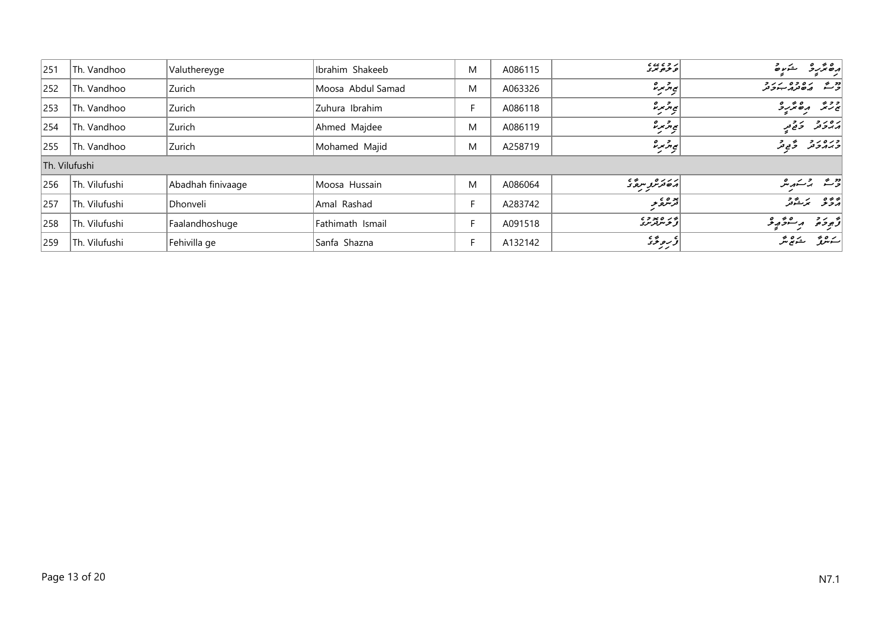| 251 | lTh. Vandhoo       | Valuthereyge      | Ibrahim Shakeeb   | M | A086115 | ر و ، ر، ،<br>  و مومرد         | ە ھەترىر ۋ<br>شەرە                        |
|-----|--------------------|-------------------|-------------------|---|---------|---------------------------------|-------------------------------------------|
| 252 | Th. Vandhoo        | Zurich            | Moosa Abdul Samad | M | A063326 | ى دىرىر                         | انژشته<br>ر ٥ ٥ ٥ ر ر و<br>ه ن نرم سور نر |
| 253 | Th. Vandhoo        | Zurich            | Zuhura Ibrahim    | F | A086118 | محر مر ره<br>ر ر                | چ حریڅه<br>ەھ ئەرب                        |
| 254 | Th. Vandhoo        | Zurich            | Ahmed Majdee      | M | A086119 | ى دىرىر                         | پر 9 پر و<br>ترقع فو                      |
| 255 | <b>Th. Vandhoo</b> | Zurich            | Mohamed Majid     | M | A258719 | $\circ$ $\circ$<br>ہے اور مورد  | ورەر د ئەر                                |
|     | Th. Vilufushi      |                   |                   |   |         |                                 |                                           |
| 256 | lTh. Vilufushi     | Abadhah finivaaqe | Moosa Hussain     | M | A086064 | ئەقىرىر بورىگە ئى               | رژشته برشهریش                             |
| 257 | Th. Vilufushi      | Dhonveli          | Amal Rashad       | E | A283742 | بر <i>۵ ء</i><br>ترسره تر       | اپر دی.<br>اروپو<br>ىمرىشەتر              |
| 258 | Th. Vilufushi      | Faalandhoshuge    | Fathimath Ismail  |   | A091518 | ئۇ ئە ھەد ج<br>  ئۇ ئو ئەتىرىرى | ا ته پر د<br>ەرسىۋەيجە                    |
| 259 | Th. Vilufushi      | Fehivilla ge      | Sanfa Shazna      | F | A132142 | ۇرە ئۇ ئ                        | سەھۇ<br>ے کے سگر                          |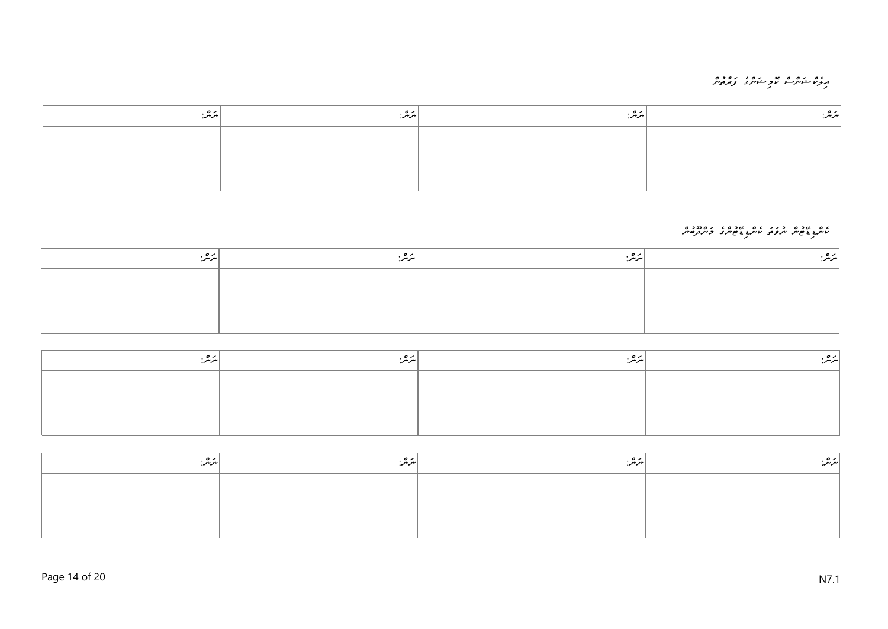## *w7qAn8m? sCw7mRo>u; wEw7mRw;sBo<*

| ' مرمر | 'يئرىثر: |
|--------|----------|
|        |          |
|        |          |
|        |          |

## *w7q9r@w7m> sCw7qHtFoFw7s; mAm=q7 w7qHtFoFw7s;*

| ىر تە | $\mathcal{O} \times$<br>$\sim$ | $\sim$<br>. . | لترنثر |
|-------|--------------------------------|---------------|--------|
|       |                                |               |        |
|       |                                |               |        |
|       |                                |               |        |

| انترنثر: | $^{\circ}$ | يبرهر | $^{\circ}$<br>سرسر |
|----------|------------|-------|--------------------|
|          |            |       |                    |
|          |            |       |                    |
|          |            |       |                    |

| ' ئىرتىر: | سر سر |  |
|-----------|-------|--|
|           |       |  |
|           |       |  |
|           |       |  |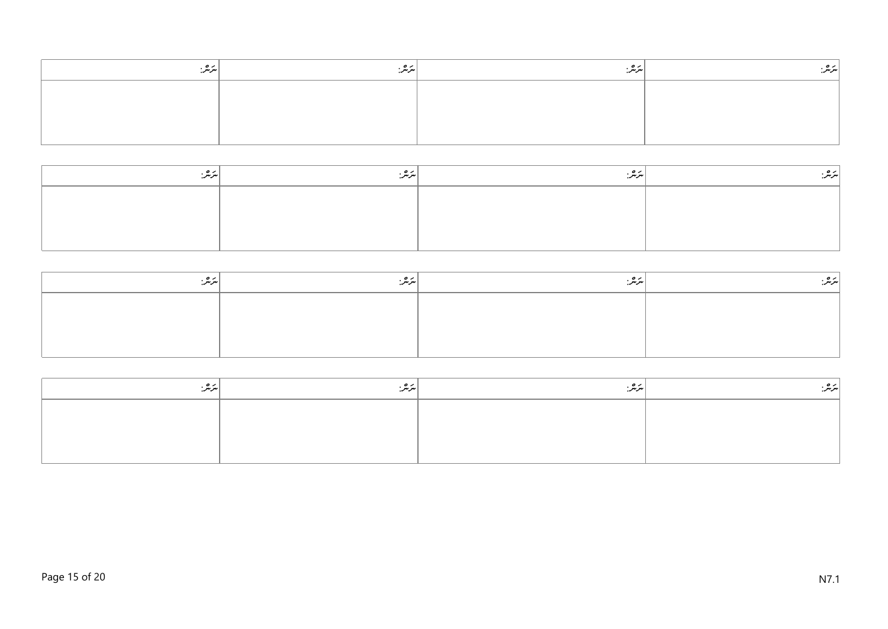| يره. | ο. | ا ير ه |  |
|------|----|--------|--|
|      |    |        |  |
|      |    |        |  |
|      |    |        |  |

| متريثر به | 。<br>'سرسر'۔ | يتزيترا | سرسر |
|-----------|--------------|---------|------|
|           |              |         |      |
|           |              |         |      |
|           |              |         |      |

| ىئرىتر. | $\sim$ | ا بر هه. | لىرىش |
|---------|--------|----------|-------|
|         |        |          |       |
|         |        |          |       |
|         |        |          |       |

| 。<br>مرس. | $\overline{\phantom{a}}$<br>مر سر | يتريثر |
|-----------|-----------------------------------|--------|
|           |                                   |        |
|           |                                   |        |
|           |                                   |        |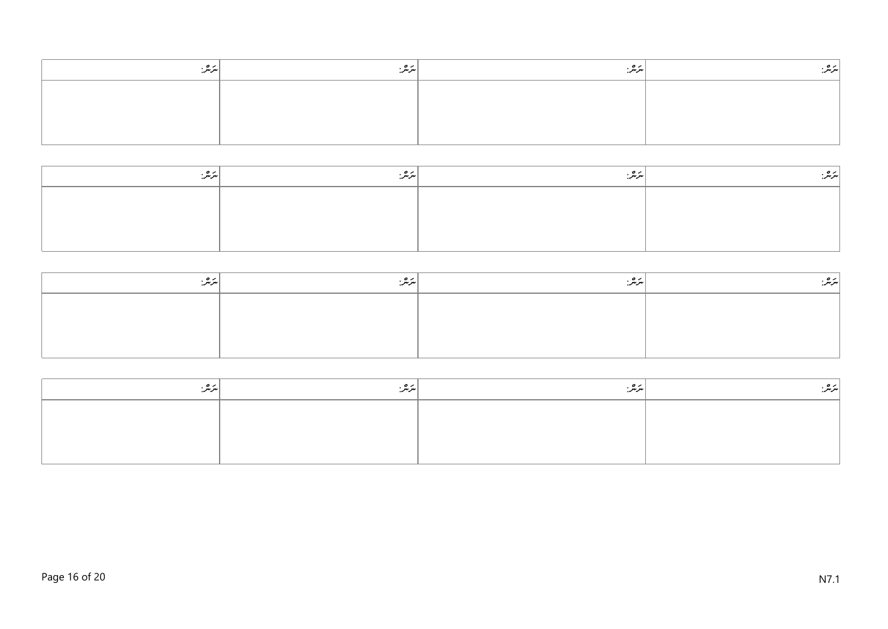| ير هو . | $\overline{\phantom{a}}$ | يرمر | اير هنه. |
|---------|--------------------------|------|----------|
|         |                          |      |          |
|         |                          |      |          |
|         |                          |      |          |

| ئىرتىر: | $\sim$<br>ا سرسر . | يئرمثر | o . |
|---------|--------------------|--------|-----|
|         |                    |        |     |
|         |                    |        |     |
|         |                    |        |     |

| 'تترنثر: | 。<br>,,,, |  |
|----------|-----------|--|
|          |           |  |
|          |           |  |
|          |           |  |

|  | . ه |
|--|-----|
|  |     |
|  |     |
|  |     |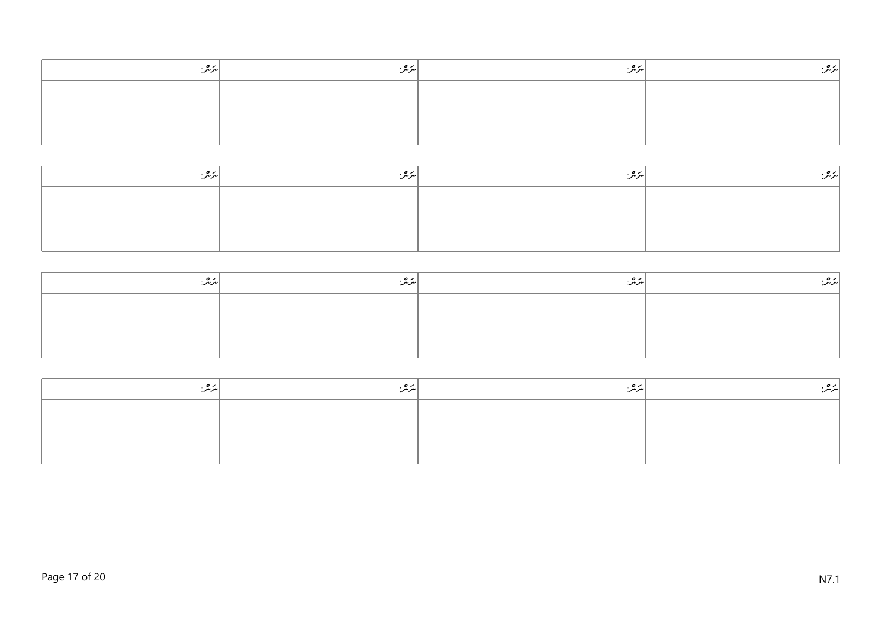| ير هو . | $\overline{\phantom{a}}$ | يرمر | اير هنه. |
|---------|--------------------------|------|----------|
|         |                          |      |          |
|         |                          |      |          |
|         |                          |      |          |

| ئىرتىر: | $\sim$<br>ا سرسر . | يئرمثر | o . |
|---------|--------------------|--------|-----|
|         |                    |        |     |
|         |                    |        |     |
|         |                    |        |     |

| 'تترنثر: | 。<br>,,,, |  |
|----------|-----------|--|
|          |           |  |
|          |           |  |
|          |           |  |

|  | . ه |
|--|-----|
|  |     |
|  |     |
|  |     |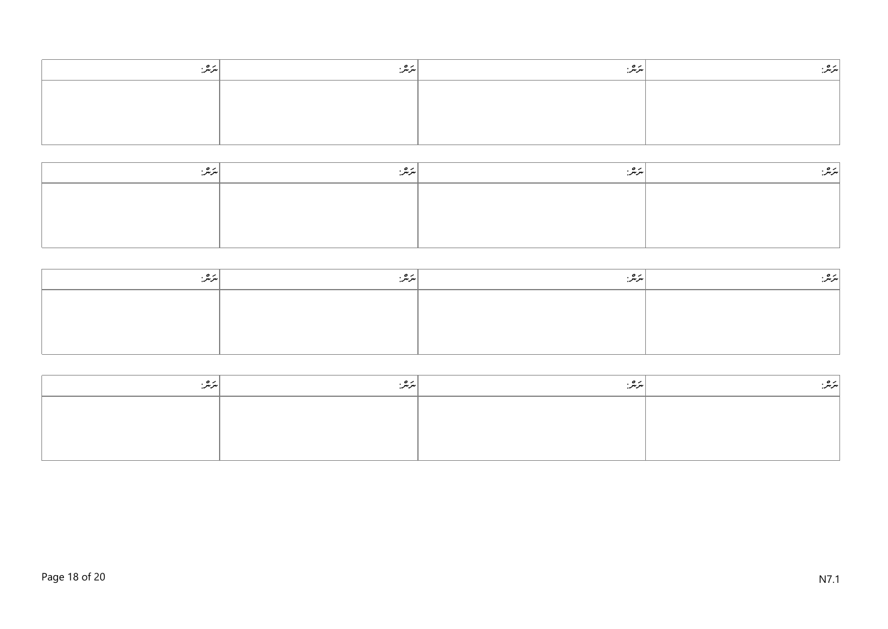| $\cdot$ | 。 | $\frac{\circ}{\cdot}$ | $\sim$<br>سرسر |
|---------|---|-----------------------|----------------|
|         |   |                       |                |
|         |   |                       |                |
|         |   |                       |                |

| يريثن | ' سرسر . |  |
|-------|----------|--|
|       |          |  |
|       |          |  |
|       |          |  |

| بر ه | . ه | $\sim$<br>سرسر |  |
|------|-----|----------------|--|
|      |     |                |  |
|      |     |                |  |
|      |     |                |  |

| 。<br>. س | ىرىىر |  |
|----------|-------|--|
|          |       |  |
|          |       |  |
|          |       |  |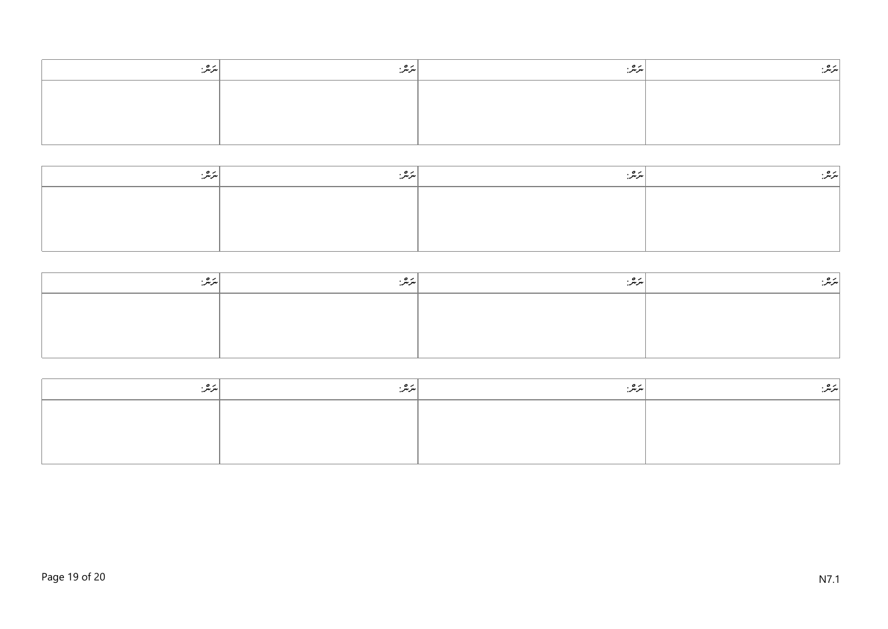| ير هو . | $\overline{\phantom{a}}$ | يرمر | اير هنه. |
|---------|--------------------------|------|----------|
|         |                          |      |          |
|         |                          |      |          |
|         |                          |      |          |

| ئىرتىر: | $\sim$<br>ا سرسر . | يئرمثر | o . |
|---------|--------------------|--------|-----|
|         |                    |        |     |
|         |                    |        |     |
|         |                    |        |     |

| 'تترنثر: | . .<br>يسمونس. |  |
|----------|----------------|--|
|          |                |  |
|          |                |  |
|          |                |  |

|  | . ه |
|--|-----|
|  |     |
|  |     |
|  |     |